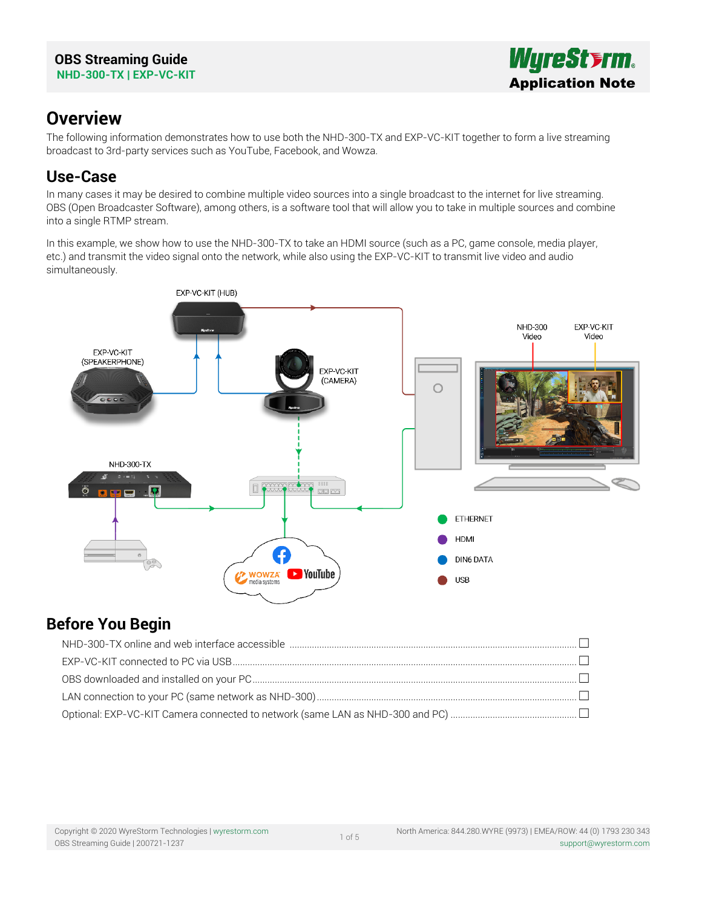

# **Overview**

The following information demonstrates how to use both the NHD-300-TX and EXP-VC-KIT together to form a live streaming broadcast to 3rd-party services such as YouTube, Facebook, and Wowza.

# **Use-Case**

In many cases it may be desired to combine multiple video sources into a single broadcast to the internet for live streaming. OBS (Open Broadcaster Software), among others, is a software tool that will allow you to take in multiple sources and combine into a single RTMP stream.

In this example, we show how to use the NHD-300-TX to take an HDMI source (such as a PC, game console, media player, etc.) and transmit the video signal onto the network, while also using the EXP-VC-KIT to transmit live video and audio simultaneously.



# **Before You Begin**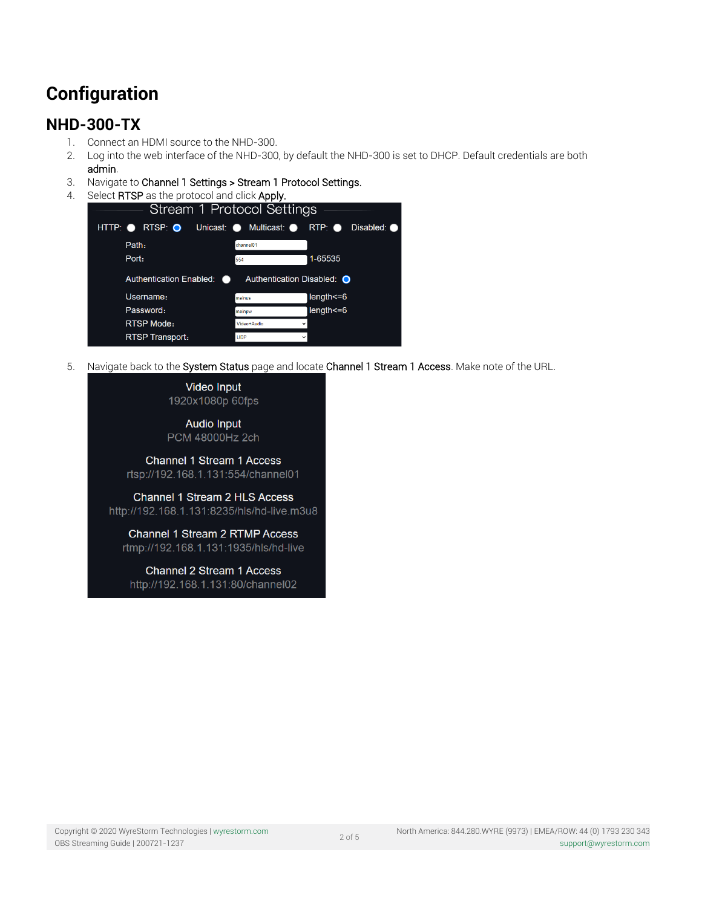# **Configuration**

# **NHD-300-TX**

- 1. Connect an HDMI source to the NHD-300.
- 2. Log into the web interface of the NHD-300, by default the NHD-300 is set to DHCP. Default credentials are both
	- admin.
- 3. Navigate to Channel 1 Settings > Stream 1 Protocol Settings.
- 4. Select RTSP as the protocol and click Apply.

| Stream 1 Protocol Settings                        |                            |                                 |
|---------------------------------------------------|----------------------------|---------------------------------|
| $RTSP: \bullet$<br>HTTP:<br>Unicast: <sup>O</sup> | Multicast: <sup>O</sup>    | $RTP:$ $\bullet$<br>Disabled: O |
| Path:                                             | channel01                  |                                 |
| Port:                                             | 554                        | 1-65535                         |
| <b>Authentication Enabled:</b><br>. .             | Authentication Disabled: O |                                 |
| Username:                                         | mainus                     | length<=6                       |
| Password:                                         | mainpw                     | length<=6                       |
| <b>RTSP Mode:</b>                                 | Video+Audio                |                                 |
| <b>RTSP Transport:</b>                            | <b>UDP</b>                 |                                 |

5. Navigate back to the System Status page and locate Channel 1 Stream 1 Access. Make note of the URL.

Video Input 1920x1080p 60fps

**Audio Input** PCM 48000Hz 2ch

Channel 1 Stream 1 Access rtsp://192.168.1.131:554/channel01

Channel 1 Stream 2 HLS Access http://192.168.1.131:8235/hls/hd-live.m3u8

Channel 1 Stream 2 RTMP Access rtmp://192.168.1.131:1935/hls/hd-live

Channel 2 Stream 1 Access http://192.168.1.131:80/channel02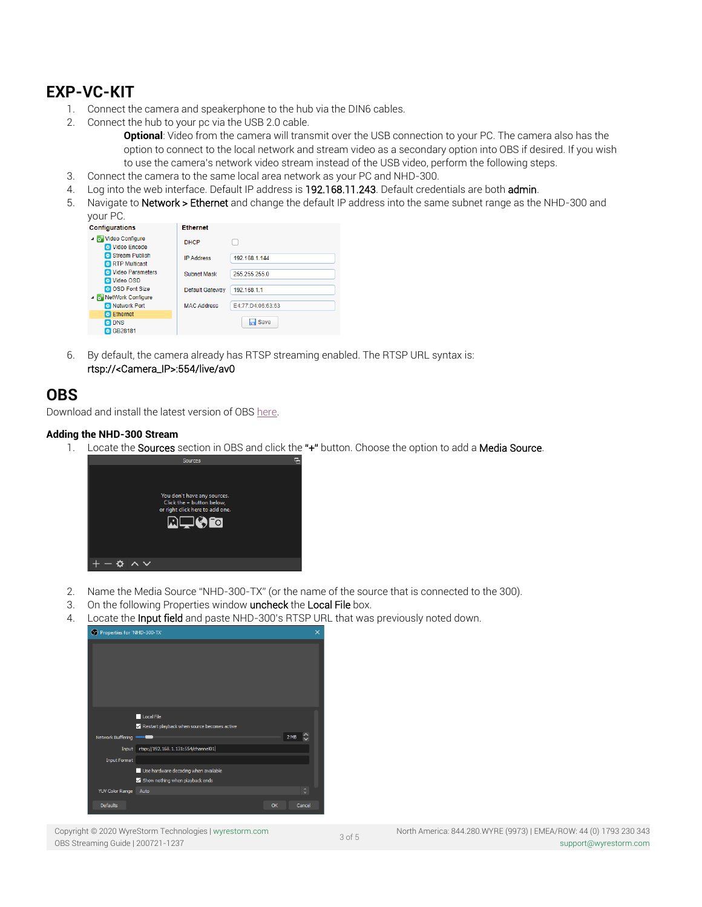# **EXP-VC-KIT**

- 1. Connect the camera and speakerphone to the hub via the DIN6 cables.
- 2. Connect the hub to your pc via the USB 2.0 cable.

**Optional**: Video from the camera will transmit over the USB connection to your PC. The camera also has the option to connect to the local network and stream video as a secondary option into OBS if desired. If you wish to use the camera's network video stream instead of the USB video, perform the following steps.

- 3. Connect the camera to the same local area network as your PC and NHD-300.
- 4. Log into the web interface. Default IP address is 192.168.11.243. Default credentials are both admin.
- 5. Navigate to Network > Ethernet and change the default IP address into the same subnet range as the NHD-300 and your PC.

| <b>Configurations</b>                              | <b>Ethernet</b>    |                   |
|----------------------------------------------------|--------------------|-------------------|
| ⊿ Video Configure<br>Video Encode                  | <b>DHCP</b>        |                   |
| Stream Publish<br><b>RTP</b> Multicast             | <b>IP Address</b>  | 192.168.1.144     |
| Video Parameters<br><b>D</b> Video OSD             | <b>Subnet Mask</b> | 255.255.255.0     |
| <b>OSD Font Size</b><br>▲ <b>NetWork Configure</b> | Default Gateway    | 192.168.1.1       |
| <b>B</b> Network Port                              | <b>MAC Address</b> | E4:77:D4:06:63:63 |
| <b>B</b> Ethernet                                  |                    |                   |
| <b>ET DNS</b><br><b>B</b> GB28181                  |                    | $\Box$ Save       |

6. By default, the camera already has RTSP streaming enabled. The RTSP URL syntax is: rtsp://<Camera\_IP>:554/live/av0

### **OBS**

Download and install the latest version of OB[S here.](https://obsproject.com/download)

### **Adding the NHD-300 Stream**

1. Locate the Sources section in OBS and click the "+" button. Choose the option to add a Media Source.



- 2. Name the Media Source "NHD-300-TX" (or the name of the source that is connected to the 300).
- 3. On the following Properties window uncheck the Local File box.
- 4. Locate the Input field and paste NHD-300's RTSP URL that was previously noted down.



Copyright © 2020 WyreStorm Technologies | [wyrestorm.com](http://wyrestorm.com/) OBS Streaming Guide | 200721-1237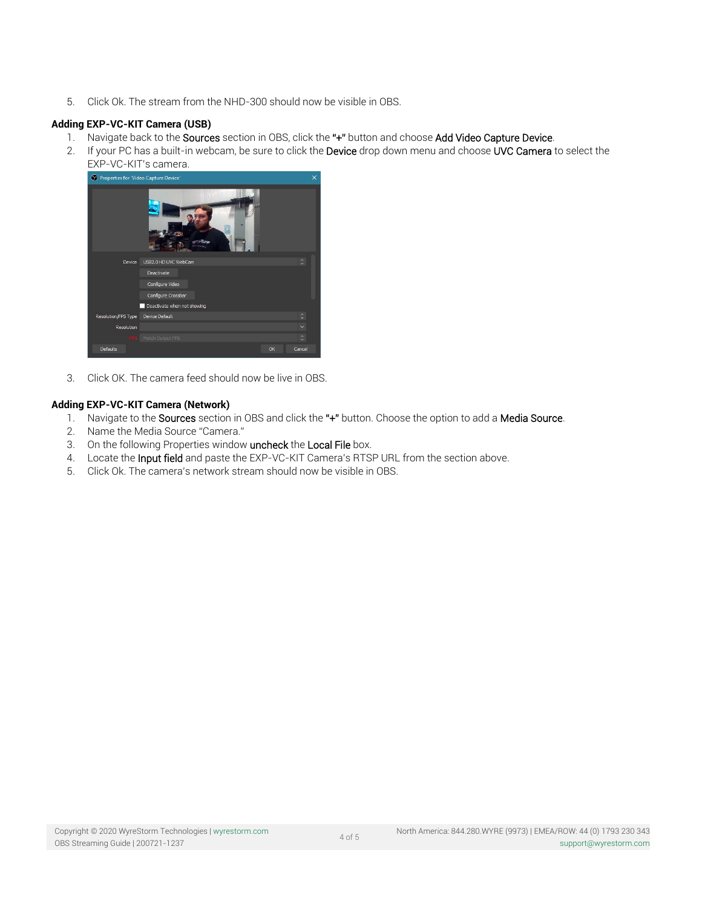5. Click Ok. The stream from the NHD-300 should now be visible in OBS.

### **Adding EXP-VC-KIT Camera (USB)**

- 1. Navigate back to the Sources section in OBS, click the "+" button and choose Add Video Capture Device.
- 2. If your PC has a built-in webcam, be sure to click the Device drop down menu and choose UVC Camera to select the



3. Click OK. The camera feed should now be live in OBS.

#### **Adding EXP-VC-KIT Camera (Network)**

- 1. Navigate to the Sources section in OBS and click the "+" button. Choose the option to add a Media Source.
- 2. Name the Media Source "Camera."
- 3. On the following Properties window uncheck the Local File box.
- 4. Locate the Input field and paste the EXP-VC-KIT Camera's RTSP URL from the section above.
- 5. Click Ok. The camera's network stream should now be visible in OBS.